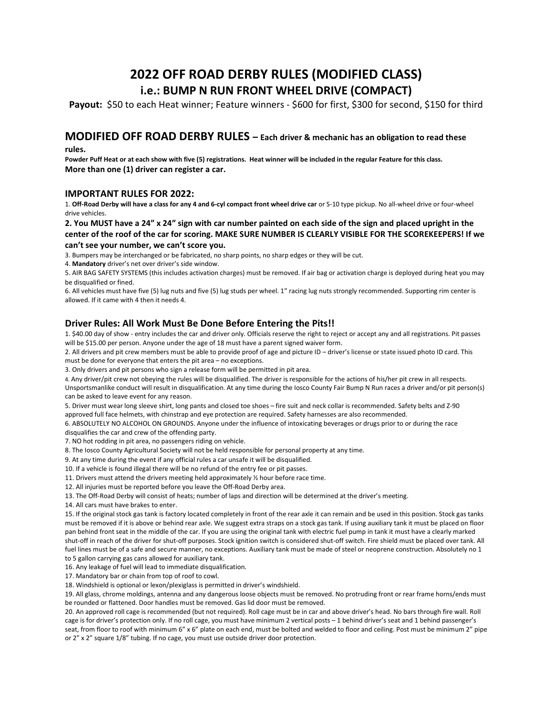# 2022 OFF ROAD DERBY RULES (MODIFIED CLASS) i.e.: BUMP N RUN FRONT WHEEL DRIVE (COMPACT)

Payout: \$50 to each Heat winner; Feature winners - \$600 for first, \$300 for second, \$150 for third

## MODIFIED OFF ROAD DERBY RULES – Each driver & mechanic has an obligation to read these

rules.

Powder Puff Heat or at each show with five (5) registrations. Heat winner will be included in the regular Feature for this class. More than one (1) driver can register a car.

### IMPORTANT RULES FOR 2022:

1. Off-Road Derby will have a class for any 4 and 6-cyl compact front wheel drive car or S-10 type pickup. No all-wheel drive or four-wheel drive vehicles.

#### 2. You MUST have a 24" x 24" sign with car number painted on each side of the sign and placed upright in the center of the roof of the car for scoring. MAKE SURE NUMBER IS CLEARLY VISIBLE FOR THE SCOREKEEPERS! If we

#### can't see your number, we can't score you.

3. Bumpers may be interchanged or be fabricated, no sharp points, no sharp edges or they will be cut.

4. Mandatory driver's net over driver's side window.

5. AIR BAG SAFETY SYSTEMS (this includes activation charges) must be removed. If air bag or activation charge is deployed during heat you may be disqualified or fined.

6. All vehicles must have five (5) lug nuts and five (5) lug studs per wheel. 1" racing lug nuts strongly recommended. Supporting rim center is allowed. If it came with 4 then it needs 4.

### Driver Rules: All Work Must Be Done Before Entering the Pits!!

1. \$40.00 day of show - entry includes the car and driver only. Officials reserve the right to reject or accept any and all registrations. Pit passes will be \$15.00 per person. Anyone under the age of 18 must have a parent signed waiver form.

2. All drivers and pit crew members must be able to provide proof of age and picture ID – driver's license or state issued photo ID card. This must be done for everyone that enters the pit area – no exceptions.

3. Only drivers and pit persons who sign a release form will be permitted in pit area.

4. Any driver/pit crew not obeying the rules will be disqualified. The driver is responsible for the actions of his/her pit crew in all respects. Unsportsmanlike conduct will result in disqualification. At any time during the Iosco County Fair Bump N Run races a driver and/or pit person(s) can be asked to leave event for any reason.

5. Driver must wear long sleeve shirt, long pants and closed toe shoes – fire suit and neck collar is recommended. Safety belts and Z-90 approved full face helmets, with chinstrap and eye protection are required. Safety harnesses are also recommended.

6. ABSOLUTELY NO ALCOHOL ON GROUNDS. Anyone under the influence of intoxicating beverages or drugs prior to or during the race disqualifies the car and crew of the offending party.

7. NO hot rodding in pit area, no passengers riding on vehicle.

8. The Iosco County Agricultural Society will not be held responsible for personal property at any time.

9. At any time during the event if any official rules a car unsafe it will be disqualified.

10. If a vehicle is found illegal there will be no refund of the entry fee or pit passes.

11. Drivers must attend the drivers meeting held approximately ½ hour before race time.

12. All injuries must be reported before you leave the Off-Road Derby area.

13. The Off-Road Derby will consist of heats; number of laps and direction will be determined at the driver's meeting.

14. All cars must have brakes to enter.

15. If the original stock gas tank is factory located completely in front of the rear axle it can remain and be used in this position. Stock gas tanks must be removed if it is above or behind rear axle. We suggest extra straps on a stock gas tank. If using auxiliary tank it must be placed on floor pan behind front seat in the middle of the car. If you are using the original tank with electric fuel pump in tank it must have a clearly marked shut-off in reach of the driver for shut-off purposes. Stock ignition switch is considered shut-off switch. Fire shield must be placed over tank. All fuel lines must be of a safe and secure manner, no exceptions. Auxiliary tank must be made of steel or neoprene construction. Absolutely no 1 to 5 gallon carrying gas cans allowed for auxiliary tank.

16. Any leakage of fuel will lead to immediate disqualification.

17. Mandatory bar or chain from top of roof to cowl.

18. Windshield is optional or lexon/plexiglass is permitted in driver's windshield.

19. All glass, chrome moldings, antenna and any dangerous loose objects must be removed. No protruding front or rear frame horns/ends must be rounded or flattened. Door handles must be removed. Gas lid door must be removed.

20. An approved roll cage is recommended (but not required). Roll cage must be in car and above driver's head. No bars through fire wall. Roll cage is for driver's protection only. If no roll cage, you must have minimum 2 vertical posts – 1 behind driver's seat and 1 behind passenger's seat, from floor to roof with minimum 6" x 6" plate on each end, must be bolted and welded to floor and ceiling. Post must be minimum 2" pipe or 2" x 2" square 1/8" tubing. If no cage, you must use outside driver door protection.